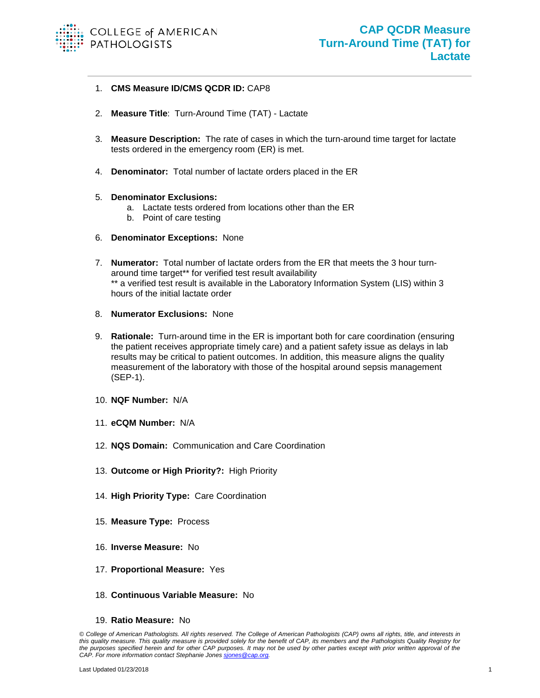

- 1. **CMS Measure ID/CMS QCDR ID:** CAP8
- 2. **Measure Title**: Turn-Around Time (TAT) Lactate
- 3. **Measure Description:** The rate of cases in which the turn-around time target for lactate tests ordered in the emergency room (ER) is met.
- 4. **Denominator:** Total number of lactate orders placed in the ER

## 5. **Denominator Exclusions:**

- a. Lactate tests ordered from locations other than the ER
- b. Point of care testing
- 6. **Denominator Exceptions:** None
- 7. **Numerator:** Total number of lactate orders from the ER that meets the 3 hour turnaround time target\*\* for verified test result availability \*\* a verified test result is available in the Laboratory Information System (LIS) within 3 hours of the initial lactate order
- 8. **Numerator Exclusions:** None
- 9. **Rationale:** Turn-around time in the ER is important both for care coordination (ensuring the patient receives appropriate timely care) and a patient safety issue as delays in lab results may be critical to patient outcomes. In addition, this measure aligns the quality measurement of the laboratory with those of the hospital around sepsis management (SEP-1).
- 10. **NQF Number:** N/A
- 11. **eCQM Number:** N/A
- 12. **NQS Domain:** Communication and Care Coordination
- 13. **Outcome or High Priority?:** High Priority
- 14. **High Priority Type:** Care Coordination
- 15. **Measure Type:** Process
- 16. **Inverse Measure:** No
- 17. **Proportional Measure:** Yes
- 18. **Continuous Variable Measure:** No
- 19. **Ratio Measure:** No

*<sup>©</sup> College of American Pathologists. All rights reserved. The College of American Pathologists (CAP) owns all rights, title, and interests in this quality measure. This quality measure is provided solely for the benefit of CAP, its members and the Pathologists Quality Registry for the purposes specified herein and for other CAP purposes. It may not be used by other parties except with prior written approval of the CAP. For more information contact Stephanie Jones [sjones@cap.org.](mailto:sjones@cap.org)*